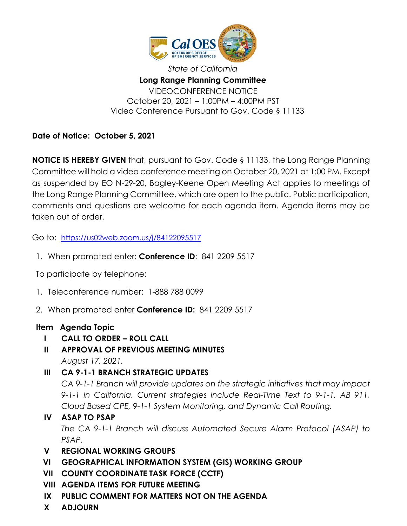

*State of California* **Long Range Planning Committee** VIDEOCONFERENCE NOTICE October 20, 2021 – 1:00PM – 4:00PM PST Video Conference Pursuant to Gov. Code § 11133

**Date of Notice: October 5, 2021**

**NOTICE IS HEREBY GIVEN** that, pursuant to Gov. Code § 11133, the Long Range Planning Committee will hold a video conference meeting on October 20, 2021 at 1:00 PM. Except as suspended by EO N-29-20, Bagley-Keene Open Meeting Act applies to meetings of the Long Range Planning Committee, which are open to the public. Public participation, comments and questions are welcome for each agenda item. Agenda items may be taken out of order.

Go to: <https://us02web.zoom.us/j/84122095517>

1. When prompted enter: **Conference ID**: 841 2209 5517

To participate by telephone:

- 1. Teleconference number: 1-888 788 0099
- 2. When prompted enter **Conference ID:** 841 2209 5517

## **Item Agenda Topic**

- **I CALL TO ORDER – ROLL CALL**
- **II APPROVAL OF PREVIOUS MEETING MINUTES** *August 17, 2021.*
- **III CA 9-1-1 BRANCH STRATEGIC UPDATES**

*CA 9-1-1 Branch will provide updates on the strategic initiatives that may impact 9-1-1 in California. Current strategies include Real-Time Text to 9-1-1, AB 911, Cloud Based CPE, 9-1-1 System Monitoring, and Dynamic Call Routing.* 

## **IV ASAP TO PSAP**

*The CA 9-1-1 Branch will discuss Automated Secure Alarm Protocol (ASAP) to PSAP.*

- **V REGIONAL WORKING GROUPS**
- **VI GEOGRAPHICAL INFORMATION SYSTEM (GIS) WORKING GROUP**
- **VII COUNTY COORDINATE TASK FORCE (CCTF)**
- **VIII AGENDA ITEMS FOR FUTURE MEETING**
- **IX PUBLIC COMMENT FOR MATTERS NOT ON THE AGENDA**
- **X ADJOURN**